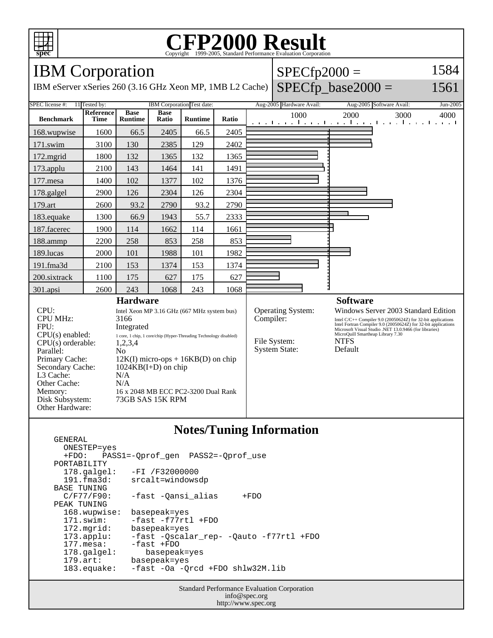

### **CFP2000 Result** Copyright  $\odot$  1999-2005, Standard I

# IBM Corporation

IBM eServer xSeries 260 (3.16 GHz Xeon MP, 1MB L2 Cache)

#### $SPECfp2000 =$ 1584

## $SPECfp\_base2000 =$

1561

#### SPEC license #: 11 Tested by: IBM Corporation Test date: Aug-2005 Hardware Avail: Aug-2005 Software Avail: Jun-2005 **Benchmark Reference Time Base Runtime Base Ratio Runtime Ratio** 1000 2000 3000 4000 168.wupwise 1600 66.5 2405 66.5 2405 171.swim | 3100 | 130 | 2385 | 129 | 2402 172.mgrid | 1800 | 132 | 1365 | 132 | 1365 173.applu | 2100 | 143 | 1464 | 141 | 1491 177.mesa | 1400 | 102 | 1377 | 102 | 1376 178.galgel | 2900 | 126 | 2304 | 126 | 2304 179.art 2600 93.2 2790 93.2 2790 183.equake 1300 66.9 1943 55.7 2333 187.facerec | 1900 | 114 | 1662 | 114 | 1661 188.ammp | 2200 | 258 | 853 | 258 | 853 189.lucas | 2000 | 101 | 1988 | 101 | 1982 191.fma3d | 2100 | 153 | 1374 | 153 | 1374 200.sixtrack 1100 175 627 175 627 301.apsi 2600 243 1068 243 1068 **Hardware** CPU: Intel Xeon MP 3.16 GHz (667 MHz system bus) CPU MHz: 3166 FPU: Integrated  $CPU(s) enable: 1 core, 1 chip, 1 core/chip (Hyper-Threading Technology disabled)$ <br> $CPU(s) orderable: 1, 2, 3, 4$  $CPU(s)$  orderable: Parallel: No<br>Primary Cache: 12F  $12K(I)$  micro-ops + 16KB(D) on chip Secondary Cache: 1024KB(I+D) on chip L3 Cache: N/A Other Cache: N/A Memory: 16 x 2048 MB ECC PC2-3200 Dual Rank Disk Subsystem: 73GB SAS 15K RPM Other Hardware: **Software** Operating System: Windows Server 2003 Standard Edition<br>
Compiler: Intel C/C++ Compiler 9.0 (20050624Z) for 32-bit applications Intel C/C++ Compiler 9.0 (20050624Z) for 32-bit applications Intel Fortran Compiler 9.0 (20050624Z) for 32-bit applications Microsoft Visual Studio .NET 13.0.9466 (for libraries) MicroQuill Smartheap Library 7.30 File System: NTFS<br>System State: Default System State:

## **Notes/Tuning Information**

 GENERAL ONESTEP=yes +FDO: PASS1=-Qprof\_gen PASS2=-Qprof\_use PORTABILITY<br>178.galgel: -FI /F32000000 191.fma3d: srcalt=windowsdp BASE TUNING<br>C/F77/F90: -fast -Qansi\_alias +FDO PEAK TUNING 168.wupwise: basepeak=yes 171.swim: -fast -f77rtl +FDO 172.mgrid: basepeak=yes<br>173.applu: -fast -Qscala 173.applu: -fast -Qscalar\_rep- -Qauto -f77rtl +FDO -fast +FDO 178.galgel: basepeak=yes 179.art: basepeak=yes 183.equake: -fast -Oa -Qrcd +FDO shlw32M.lib

> Standard Performance Evaluation Corporation info@spec.org http://www.spec.org